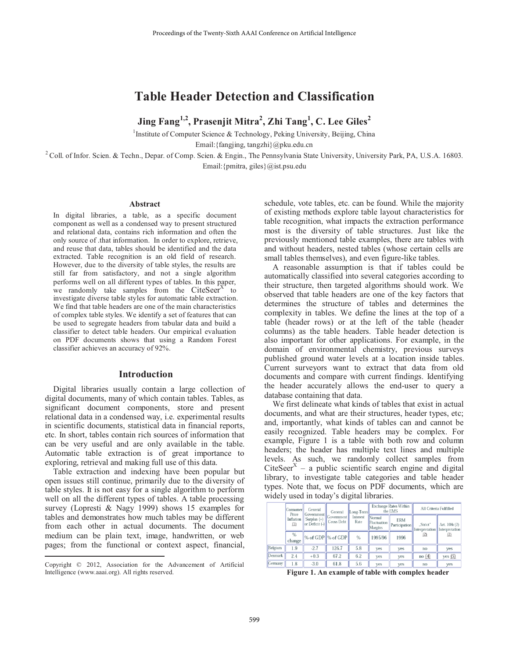# **Table Header Detection and Classification**

 $\bm{\mathrm{Jing\;Fang}}^{1,2}, \bm{\mathrm{Prasenjit\;Mitra}}^{2}, \bm{\mathrm{Zhi\;Tang}}^{1}, \bm{\mathrm{C. \: Lee \: Giles}}^{2}$ 

<sup>1</sup>Institute of Computer Science & Technology, Peking University, Beijing, China

Email:{fangjing, tangzhi}@pku.edu.cn

<sup>2</sup> Coll. of Infor. Scien. & Techn., Depar. of Comp. Scien. & Engin., The Pennsylvania State University, University Park, PA, U.S.A. 16803. Email:{pmitra, giles}@ist.psu.edu

#### **Abstract**

In digital libraries, a table, as a specific document component as well as a condensed way to present structured and relational data, contains rich information and often the only source of .that information. In order to explore, retrieve, and reuse that data, tables should be identified and the data extracted. Table recognition is an old field of research. However, due to the diversity of table styles, the results are still far from satisfactory, and not a single algorithm performs well on all different types of tables. In this paper, we randomly take samples from the  $CiteSeer<sup>x</sup>$  to investigate diverse table styles for automatic table extraction. We find that table headers are one of the main characteristics of complex table styles. We identify a set of features that can be used to segregate headers from tabular data and build a classifier to detect table headers. Our empirical evaluation on PDF documents shows that using a Random Forest classifier achieves an accuracy of 92%.

#### **Introduction**

Digital libraries usually contain a large collection of digital documents, many of which contain tables. Tables, as significant document components, store and present relational data in a condensed way, i.e. experimental results in scientific documents, statistical data in financial reports, etc. In short, tables contain rich sources of information that can be very useful and are only available in the table. Automatic table extraction is of great importance to exploring, retrieval and making full use of this data.

Table extraction and indexing have been popular but open issues still continue, primarily due to the diversity of table styles. It is not easy for a single algorithm to perform well on all the different types of tables. A table processing survey (Lopresti & Nagy 1999) shows 15 examples for tables and demonstrates how much tables may be different from each other in actual documents. The document medium can be plain text, image, handwritten, or web pages; from the functional or context aspect, financial,

 $\overline{a}$ 

schedule, vote tables, etc. can be found. While the majority of existing methods explore table layout characteristics for table recognition, what impacts the extraction performance most is the diversity of table structures. Just like the previously mentioned table examples, there are tables with and without headers, nested tables (whose certain cells are small tables themselves), and even figure-like tables.

A reasonable assumption is that if tables could be automatically classified into several categories according to their structure, then targeted algorithms should work. We observed that table headers are one of the key factors that determines the structure of tables and determines the complexity in tables. We define the lines at the top of a table (header rows) or at the left of the table (header columns) as the table headers. Table header detection is also important for other applications. For example, in the domain of environmental chemistry, previous surveys published ground water levels at a location inside tables. Current surveyors want to extract that data from old documents and compare with current findings. Identifying the header accurately allows the end-user to query a database containing that data.

We first delineate what kinds of tables that exist in actual documents, and what are their structures, header types, etc; and, importantly, what kinds of tables can and cannot be easily recognized. Table headers may be complex. For example, Figure 1 is a table with both row and column headers; the header has multiple text lines and multiple levels. As such, we randomly collect samples from CiteSeer<sup>X</sup> – a public scientific search engine and digital library, to investigate table categories and table header types. Note that, we focus on PDF documents, which are widely used in today's digital libraries.

|         | Consumer<br>Price | General<br>Government               |                                 | Long-Term<br>General |                                  | <b>Exchange Rates Within</b><br>the EMS |                            | All Criteria Fulfilled           |  |
|---------|-------------------|-------------------------------------|---------------------------------|----------------------|----------------------------------|-----------------------------------------|----------------------------|----------------------------------|--|
|         | Inflation<br>(1)  | Surplus $(+)$<br>$or$ Deficit $(-)$ | Government<br><b>Gross Debt</b> | Interest<br>Rate     | Normal<br>Fluctuation<br>Margins | <b>ERM</b><br>Participation             | "Strict"<br>Interpretation | Art. $104c(2)$<br>Interpretation |  |
|         | $\%$<br>change    | % of GDP % of GDP                   |                                 | %                    | 1995/96                          | 1996                                    | (2)                        | (2)                              |  |
| Belgium | 1.9               | $-2.7$                              | 126.7                           | 5.8                  | yes                              | yes                                     | no                         | yes                              |  |
| Denmark | 2.4               | $+0.3$                              | 67.2                            | 6.2                  | ves                              | yes                                     | no(4)                      | yes(5)                           |  |
| Germany | 1.8               | $-3.0$                              | 61.8                            | 5.6                  | ves                              | yes                                     | no                         | <b>ves</b>                       |  |

**Figure 1. An example of table with complex header** 

Copyright © 2012, Association for the Advancement of Artificial Intelligence (www.aaai.org). All rights reserved.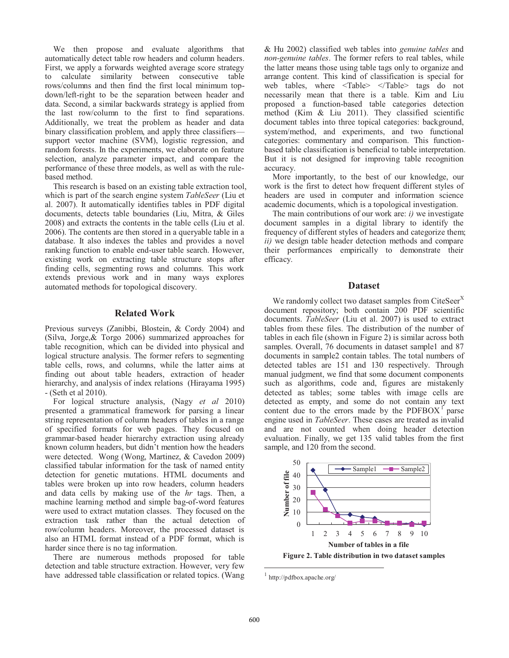We then propose and evaluate algorithms that automatically detect table row headers and column headers. First, we apply a forwards weighted average score strategy to calculate similarity between consecutive table rows/columns and then find the first local minimum topdown/left-right to be the separation between header and data. Second, a similar backwards strategy is applied from the last row/column to the first to find separations. Additionally, we treat the problem as header and data binary classification problem, and apply three classifiers support vector machine (SVM), logistic regression, and random forests. In the experiments, we elaborate on feature selection, analyze parameter impact, and compare the performance of these three models, as well as with the rulebased method.

This research is based on an existing table extraction tool, which is part of the search engine system *TableSeer* (Liu et al. 2007). It automatically identifies tables in PDF digital documents, detects table boundaries (Liu, Mitra, & Giles 2008) and extracts the contents in the table cells (Liu et al. 2006). The contents are then stored in a queryable table in a database. It also indexes the tables and provides a novel ranking function to enable end-user table search. However, existing work on extracting table structure stops after finding cells, segmenting rows and columns. This work extends previous work and in many ways explores automated methods for topological discovery.

#### **Related Work**

Previous surveys (Zanibbi, Blostein, & Cordy 2004) and (Silva, Jorge,& Torgo 2006) summarized approaches for table recognition, which can be divided into physical and logical structure analysis. The former refers to segmenting table cells, rows, and columns, while the latter aims at finding out about table headers, extraction of header hierarchy, and analysis of index relations (Hirayama 1995) - (Seth et al 2010).

For logical structure analysis, (Nagy *et al* 2010) presented a grammatical framework for parsing a linear string representation of column headers of tables in a range of specified formats for web pages. They focused on grammar-based header hierarchy extraction using already known column headers, but didn't mention how the headers were detected. Wong (Wong, Martinez, & Cavedon 2009) classified tabular information for the task of named entity detection for genetic mutations. HTML documents and tables were broken up into row headers, column headers and data cells by making use of the *hr* tags. Then, a machine learning method and simple bag-of-word features were used to extract mutation classes. They focused on the extraction task rather than the actual detection of row/column headers. Moreover, the processed dataset is also an HTML format instead of a PDF format, which is harder since there is no tag information.

There are numerous methods proposed for table detection and table structure extraction. However, very few have addressed table classification or related topics. (Wang

& Hu 2002) classified web tables into *genuine tables* and *non-genuine tables*. The former refers to real tables, while the latter means those using table tags only to organize and arrange content. This kind of classification is special for web tables, where <Table> </Table> tags do not necessarily mean that there is a table. Kim and Liu proposed a function-based table categories detection method (Kim & Liu 2011). They classified scientific document tables into three topical categories: background, system/method, and experiments, and two functional categories: commentary and comparison. This functionbased table classification is beneficial to table interpretation. But it is not designed for improving table recognition accuracy.

More importantly, to the best of our knowledge, our work is the first to detect how frequent different styles of headers are used in computer and information science academic documents, which is a topological investigation.

The main contributions of our work are: *i)* we investigate document samples in a digital library to identify the frequency of different styles of headers and categorize them; *ii)* we design table header detection methods and compare their performances empirically to demonstrate their efficacy.

#### **Dataset**

We randomly collect two dataset samples from CiteSeer $<sup>X</sup>$ </sup> document repository; both contain 200 PDF scientific documents. *TableSeer* (Liu et al. 2007) is used to extract tables from these files. The distribution of the number of tables in each file (shown in Figure 2) is similar across both samples. Overall, 76 documents in dataset sample1 and 87 documents in sample2 contain tables. The total numbers of detected tables are 151 and 130 respectively. Through manual judgment, we find that some document components such as algorithms, code and, figures are mistakenly detected as tables; some tables with image cells are detected as empty, and some do not contain any text content due to the errors made by the  $\text{PDFBOX}^{\text{T}}$  parse engine used in *TableSeer*. These cases are treated as invalid and are not counted when doing header detection evaluation. Finally, we get 135 valid tables from the first sample, and 120 from the second.



 $1$  http://pdfbox.apache.org/

 $\overline{a}$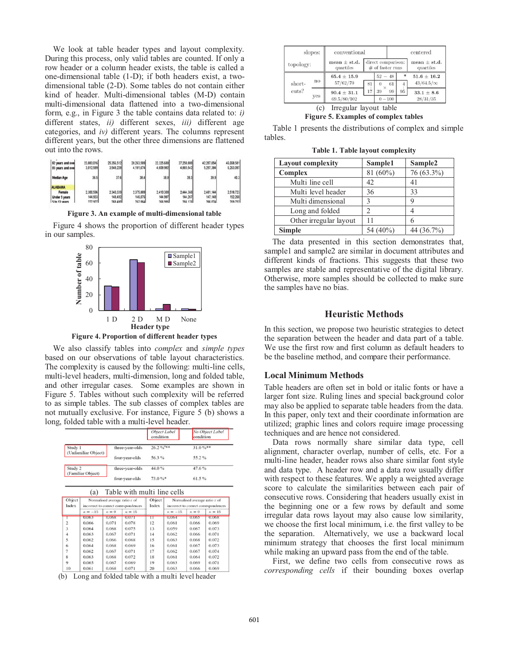We look at table header types and layout complexity. During this process, only valid tables are counted. If only a row header or a column header exists, the table is called a one-dimensional table (1-D); if both headers exist, a twodimensional table (2-D). Some tables do not contain either kind of header. Multi-dimensional tables (M-D) contain multi-dimensional data flattened into a two-dimensional form, e.g., in Figure 3 the table contains data related to: *i)*  different states, *ii)* different sexes, *iii)* different age categories, and *iv)* different years. The columns represent different years, but the other three dimensions are flattened out into the rows.

| 62 years and over<br>85 years and over | 23.883.016<br>3,012,589 | 25 356 512<br>3.548.228 | 28.263.589<br>4.181.674 | 32.325.680<br>4,608.982 | 37,250,808<br>4,865,542 | 42.287.054<br>5,297,384 | 46,068,581<br>6.263.097 |
|----------------------------------------|-------------------------|-------------------------|-------------------------|-------------------------|-------------------------|-------------------------|-------------------------|
| <b>Median Age</b>                      | 36.5                    | 37.6                    | 38.4                    | 38.8                    | 39.3                    | 39.9                    | 40.3                    |
| <b>ALABAMA</b>                         |                         |                         |                         |                         |                         |                         |                         |
| Female                                 | 2,300.596               | 2.340.339               | 2.375.889               | 2,410,300               | 2.444.368               | 2,481.144               | 2.518.723               |
| Under 5 years                          | 144,933                 | 148,492                 | 146,076                 | 144.987                 | 144.267                 | 147,148                 | 152,260                 |
| 5 to 13 years                          | 277 927                 | 268,480                 | 267 064                 | 1200 330                | 266 176                 | 266,074                 | 269 762                 |

**Figure 3. An example of multi-dimensional table** 

Figure 4 shows the proportion of different header types in our samples.



**Figure 4. Proportion of different header types** 

We also classify tables into *complex* and *simple types* based on our observations of table layout characteristics. The complexity is caused by the following: multi-line cells, multi-level headers, multi-dimension, long and folded table, and other irregular cases. Some examples are shown in Figure 5. Tables without such complexity will be referred to as simple tables. The sub classes of complex tables are not mutually exclusive. For instance, Figure 5 (b) shows a long, folded table with a multi-level header.

|                                |                 | <b>Object</b> Label<br>condition | No Object Label<br>condition |
|--------------------------------|-----------------|----------------------------------|------------------------------|
| Study 1<br>(Unfamiliar Object) | three-vear-olds | $26.2\frac{9}{6}$ <sup>388</sup> | $31.0\%$ **                  |
|                                | four-year-olds  | 56.3%                            | 55.2%                        |
| Study 2<br>(Familiar Object)   | three-year-olds | 44.0%                            | 47.6%                        |
|                                | four-year-olds  | $73.0\%$ *                       | 61.5%                        |

| Object<br>Index |              | Normalised average ratio $\varepsilon$ of | incorrect to correct correspondences | Object<br>Index | Normalised average ratio $\varepsilon$ of<br>incorrect to correct correspondences |              |               |
|-----------------|--------------|-------------------------------------------|--------------------------------------|-----------------|-----------------------------------------------------------------------------------|--------------|---------------|
|                 | $\kappa=-15$ | $\kappa = 0$                              | $\kappa = 15$                        |                 | $\kappa = -15$                                                                    | $\kappa = 0$ | $\kappa = 15$ |
|                 | 0.063        | 0.068                                     | 0.071                                | п               | 0.064                                                                             | 0.065        | 0.068         |
| $\overline{c}$  | 0.066        | 0.071                                     | 0.078                                | 12              | 0.061                                                                             | 0.066        | 0.069         |
| 3               | 0.064        | 0.068                                     | 0.075                                | 13              | 0.059                                                                             | 0.067        | 0.073         |
| 4               | 0.063        | 0.067                                     | 0.071                                | 14              | 0.062                                                                             | 0.066        | 0.071         |
| 5               | 0.062        | 0.066                                     | 0.068                                | 15              | 0.063                                                                             | 0.068        | 0.072         |
| 6               | 0.064        | 0.068                                     | 0.069                                | 16              | 0.061                                                                             | 0.067        | 0.073         |
| 7               | 0.062        | 0.067                                     | 0.071                                | 17              | 0.062                                                                             | 0.067        | 0.074         |
| 8               | 0.063        | 0.068                                     | 0.072                                | 18              | 0.061                                                                             | 0.064        | 0.072         |
| 9               | 0.065        | 0.067                                     | 0.069                                | 19              | 0.063                                                                             | 0.069        | 0.071         |
| 10              | 0.061        | 0.068                                     | 0.071                                | 20              | 0.063                                                                             | 0.066        | 0.069         |

(b) Long and folded table with a multi level header

| slopes:<br>topology: |                            | conventional                  |                                          |                |                | centered                      |
|----------------------|----------------------------|-------------------------------|------------------------------------------|----------------|----------------|-------------------------------|
|                      |                            | mean $\pm$ st.d.<br>quartiles | direct comparison:<br>$#$ of faster runs |                |                | mean $\pm$ st.d.<br>quartiles |
|                      |                            | $65.4 \pm 15.9$               |                                          | $52 - 48$      | $\ast$         | $51.6 \pm 16.2$               |
| short-               | $\mathop{\rm no}\nolimits$ | 57/62/70                      | 81                                       | 61<br>$\Omega$ | $\overline{4}$ | $43/64.5/\infty$              |
| cuts?                |                            | $90.4 \pm 31.1$               | 17                                       | 39<br>99       | 95             | $33.1 \pm 8.6$                |
|                      | yes                        | 69.5/80/102                   |                                          | $0 - 100$      |                | 28/31/35                      |

**Figure 5. Examples of complex tables** 

Table 1 presents the distributions of complex and simple tables.

**Table 1. Table layout complexity** 

| <b>Layout complexity</b> | Sample1     | Sample <sub>2</sub> |
|--------------------------|-------------|---------------------|
| Complex                  | 81 $(60\%)$ | 76 (63.3%)          |
| Multi line cell          | 42          | 41                  |
| Multi level header       | 36          | 33                  |
| Multi dimensional        | 3           |                     |
| Long and folded          |             |                     |
| Other irregular layout   | 11          | 6                   |
| <b>Simple</b>            | 54 (40%)    | 44 (36.7%)          |

The data presented in this section demonstrates that, sample1 and sample2 are similar in document attributes and different kinds of fractions. This suggests that these two samples are stable and representative of the digital library. Otherwise, more samples should be collected to make sure the samples have no bias.

#### **Heuristic Methods**

In this section, we propose two heuristic strategies to detect the separation between the header and data part of a table. We use the first row and first column as default headers to be the baseline method, and compare their performance.

#### **Local Minimum Methods**

Table headers are often set in bold or italic fonts or have a larger font size. Ruling lines and special background color may also be applied to separate table headers from the data. In this paper, only text and their coordinate information are utilized; graphic lines and colors require image processing techniques and are hence not considered.

Data rows normally share similar data type, cell alignment, character overlap, number of cells, etc. For a multi-line header, header rows also share similar font style and data type. A header row and a data row usually differ with respect to these features. We apply a weighted average score to calculate the similarities between each pair of consecutive rows. Considering that headers usually exist in the beginning one or a few rows by default and some irregular data rows layout may also cause low similarity, we choose the first local minimum, i.e. the first valley to be the separation. Alternatively, we use a backward local minimum strategy that chooses the first local minimum while making an upward pass from the end of the table.

First, we define two cells from consecutive rows as *corresponding cells* if their bounding boxes overlap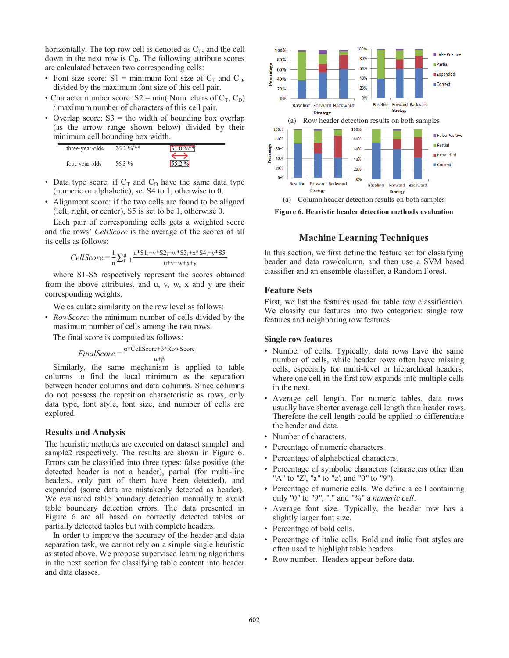horizontally. The top row cell is denoted as  $C_T$ , and the cell down in the next row is  $C<sub>D</sub>$ . The following attribute scores are calculated between two corresponding cells:

- Font size score:  $S1 = \text{minimum}$  font size of  $C_T$  and  $C_D$ , divided by the maximum font size of this cell pair.
- Character number score:  $S2 = min(Num \;{\rm{chars}} \; of C_T, C_D)$ / maximum number of characters of this cell pair.
- Overlap score:  $S3 =$  the width of bounding box overlap (as the arrow range shown below) divided by their minimum cell bounding box width.



- Data type score: if  $C_T$  and  $C_D$  have the same data type (numeric or alphabetic), set S4 to 1, otherwise to 0.
- Alignment score: if the two cells are found to be aligned (left, right, or center), S5 is set to be 1, otherwise 0.

Each pair of corresponding cells gets a weighted score and the rows' *CellScore* is the average of the scores of all its cells as follows:

$$
CellScore = \frac{1}{n} \sum_{i=1}^{n} \frac{u^* S 1_i + v^* S 2_i + w^* S 3_i + x^* S 4_i + y^* S 5_i}{u^+ v^+ w^+ x^+ y}
$$

where S1-S5 respectively represent the scores obtained from the above attributes, and u, v, w, x and y are their corresponding weights.

We calculate similarity on the row level as follows:

• *RowScore*: the minimum number of cells divided by the maximum number of cells among the two rows.

The final score is computed as follows:

$$
FinalScore = \frac{\alpha^*CellScore + \beta^*RowScore}{\alpha + \beta}
$$

Similarly, the same mechanism is applied to table columns to find the local minimum as the separation between header columns and data columns. Since columns do not possess the repetition characteristic as rows, only data type, font style, font size, and number of cells are explored.

#### **Results and Analysis**

The heuristic methods are executed on dataset sample1 and sample2 respectively. The results are shown in Figure 6. Errors can be classified into three types: false positive (the detected header is not a header), partial (for multi-line headers, only part of them have been detected), and expanded (some data are mistakenly detected as header). We evaluated table boundary detection manually to avoid table boundary detection errors. The data presented in Figure 6 are all based on correctly detected tables or partially detected tables but with complete headers.

In order to improve the accuracy of the header and data separation task, we cannot rely on a simple single heuristic as stated above. We propose supervised learning algorithms in the next section for classifying table content into header and data classes.



**Figure 6. Heuristic header detection methods evaluation** 

## **Machine Learning Techniques**

In this section, we first define the feature set for classifying header and data row/column, and then use a SVM based classifier and an ensemble classifier, a Random Forest.

#### **Feature Sets**

First, we list the features used for table row classification. We classify our features into two categories: single row features and neighboring row features.

#### **Single row features**

- Number of cells. Typically, data rows have the same number of cells, while header rows often have missing cells, especially for multi-level or hierarchical headers, where one cell in the first row expands into multiple cells in the next.
- Average cell length. For numeric tables, data rows usually have shorter average cell length than header rows. Therefore the cell length could be applied to differentiate the header and data.
- Number of characters.
- Percentage of numeric characters.
- Percentage of alphabetical characters.
- Percentage of symbolic characters (characters other than "A" to "Z', "a" to "z', and "0" to "9").
- Percentage of numeric cells. We define a cell containing only "0" to "9", "." and "%" a *numeric cell*.
- Average font size. Typically, the header row has a slightly larger font size.
- Percentage of bold cells.
- Percentage of italic cells. Bold and italic font styles are often used to highlight table headers.
- Row number. Headers appear before data.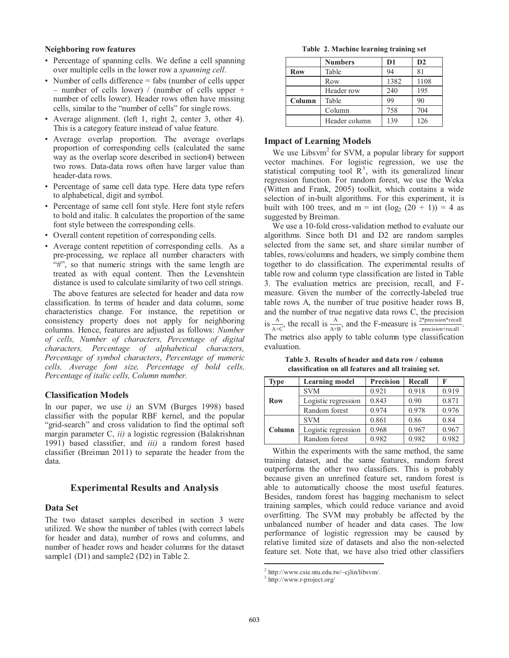#### **Neighboring row features**

- Percentage of spanning cells. We define a cell spanning over multiple cells in the lower row a *spanning cell*.
- Number of cells difference = fabs (number of cells upper – number of cells lower) / (number of cells upper + number of cells lower). Header rows often have missing cells, similar to the "number of cells" for single rows.
- Average alignment. (left 1, right 2, center 3, other 4). This is a category feature instead of value feature.
- Average overlap proportion. The average overlaps proportion of corresponding cells (calculated the same way as the overlap score described in section4) between two rows. Data-data rows often have larger value than header-data rows.
- Percentage of same cell data type. Here data type refers to alphabetical, digit and symbol.
- Percentage of same cell font style. Here font style refers to bold and italic. It calculates the proportion of the same font style between the corresponding cells.
- Overall content repetition of corresponding cells.
- Average content repetition of corresponding cells. As a pre-processing, we replace all number characters with "#", so that numeric strings with the same length are treated as with equal content. Then the Levenshtein distance is used to calculate similarity of two cell strings.

The above features are selected for header and data row classification. In terms of header and data column, some characteristics change. For instance, the repetition or consistency property does not apply for neighboring columns. Hence, features are adjusted as follows: *Number of cells, Number of characters, Percentage of digital characters, Percentage of alphabetical characters, Percentage of symbol characters*, *Percentage of numeric cells, Average font size, Percentage of bold cells, Percentage of italic cells, Column number.*

#### **Classification Models**

In our paper, we use *i)* an SVM (Burges 1998) based classifier with the popular RBF kernel, and the popular "grid-search" and cross validation to find the optimal soft margin parameter C, *ii)* a logistic regression (Balakrishnan 1991) based classifier, and *iii)* a random forest based classifier (Breiman 2011) to separate the header from the data.

#### **Experimental Results and Analysis**

#### **Data Set**

The two dataset samples described in section 3 were utilized. We show the number of tables (with correct labels for header and data), number of rows and columns, and number of header rows and header columns for the dataset sample1 (D1) and sample2 (D2) in Table 2.

**Table 2. Machine learning training set** 

|            | <b>Numbers</b> | D <sub>1</sub> | $\mathbf{D2}$ |
|------------|----------------|----------------|---------------|
| <b>Row</b> | Table          | 94             | 81            |
|            | Row            | 1382           | 1108          |
|            | Header row     | 240            | 195           |
| Column     | Table          | 99             | 90            |
|            | Column         | 758            | 704           |
|            | Header column  | 139            | 126           |

#### **Impact of Learning Models**

We use Libsvm<sup>2</sup> for SVM, a popular library for support vector machines. For logistic regression, we use the statistical computing tool  $\mathbb{R}^3$ , with its generalized linear regression function. For random forest, we use the Weka (Witten and Frank, 2005) toolkit, which contains a wide selection of in-built algorithms. For this experiment, it is built with 100 trees, and m = int  $(\log_2 (20 + 1)) = 4$  as suggested by Breiman.

We use a 10-fold cross-validation method to evaluate our algorithms. Since both D1 and D2 are random samples selected from the same set, and share similar number of tables, rows/columns and headers, we simply combine them together to do classification. The experimental results of table row and column type classification are listed in Table 3. The evaluation metrics are precision, recall, and Fmeasure. Given the number of the correctly-labeled true table rows A, the number of true positive header rows B, and the number of true negative data rows C, the precision is  $\frac{A}{A+C}$ , the recall is  $\frac{A}{A+B}$ , and the F-measure is  $\frac{2*precision*recall}{precision*recall}$ . The metrics also apply to table column type classification evaluation.

**Table 3. Results of header and data row / column classification on all features and all training set.** 

| <b>Type</b> | <b>Learning model</b> | <b>Precision</b> | Recall | F     |
|-------------|-----------------------|------------------|--------|-------|
|             | <b>SVM</b>            | 0.921            | 0.918  | 0.919 |
| <b>Row</b>  | Logistic regression   | 0.843            | 0.90   | 0.871 |
|             | Random forest         | 0.974            | 0.978  | 0.976 |
|             | <b>SVM</b>            | 0.861            | 0.86   | 0.84  |
| Column      | Logistic regression   | 0.968            | 0.967  | 0.967 |
|             | Random forest         | 0.982            | 0.982  | 0.982 |

Within the experiments with the same method, the same training dataset, and the same features, random forest outperforms the other two classifiers. This is probably because given an unrefined feature set, random forest is able to automatically choose the most useful features. Besides, random forest has bagging mechanism to select training samples, which could reduce variance and avoid overfitting. The SVM may probably be affected by the unbalanced number of header and data cases. The low performance of logistic regression may be caused by relative limited size of datasets and also the non-selected feature set. Note that, we have also tried other classifiers

 $\overline{a}$ 

 $2$  http://www.csie.ntu.edu.tw/~cjlin/libsvm/.

<sup>3</sup> http://www.r-project.org/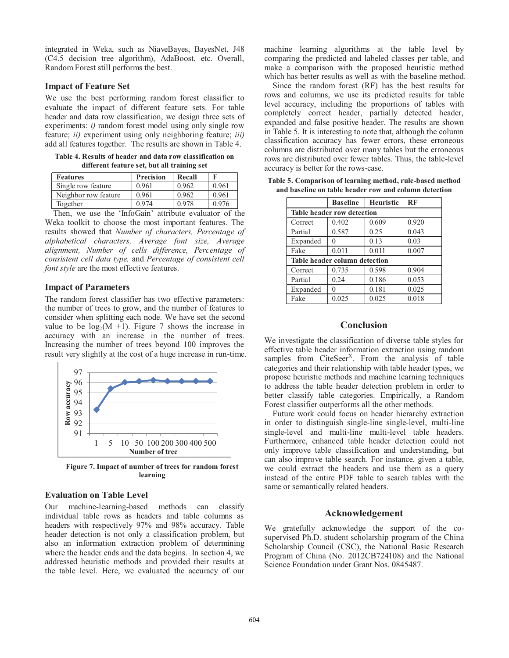integrated in Weka, such as NiaveBayes, BayesNet, J48 (C4.5 decision tree algorithm), AdaBoost, etc. Overall, Random Forest still performs the best.

#### **Impact of Feature Set**

We use the best performing random forest classifier to evaluate the impact of different feature sets. For table header and data row classification, we design three sets of experiments: *i*) random forest model using only single row feature; *ii)* experiment using only neighboring feature; *iii)*  add all features together. The results are shown in Table 4.

**Table 4. Results of header and data row classification on different feature set, but all training set** 

| <b>Features</b>      | <b>Precision</b> | Recall |       |
|----------------------|------------------|--------|-------|
| Single row feature   | 0.961            | 0.962  | 0.961 |
| Neighbor row feature | 0.961            | 0.962  | 0.961 |
| Together             | 0.974            | 0.978  | 0.976 |

Then, we use the 'InfoGain' attribute evaluator of the Weka toolkit to choose the most important features. The results showed that *Number of characters, Percentage of alphabetical characters, Average font size, Average alignment, Number of cells difference, Percentage of consistent cell data type,* and *Percentage of consistent cell font style* are the most effective features.

#### **Impact of Parameters**

The random forest classifier has two effective parameters: the number of trees to grow, and the number of features to consider when splitting each node. We have set the second value to be  $log_2(M + 1)$ . Figure 7 shows the increase in accuracy with an increase in the number of trees. Increasing the number of trees beyond 100 improves the result very slightly at the cost of a huge increase in run-time.



**Figure 7. Impact of number of trees for random forest learning** 

#### **Evaluation on Table Level**

Our machine-learning-based methods can classify individual table rows as headers and table columns as headers with respectively 97% and 98% accuracy. Table header detection is not only a classification problem, but also an information extraction problem of determining where the header ends and the data begins. In section 4, we addressed heuristic methods and provided their results at the table level. Here, we evaluated the accuracy of our

machine learning algorithms at the table level by comparing the predicted and labeled classes per table, and make a comparison with the proposed heuristic method which has better results as well as with the baseline method.

Since the random forest (RF) has the best results for rows and columns, we use its predicted results for table level accuracy, including the proportions of tables with completely correct header, partially detected header, expanded and false positive header. The results are shown in Table 5. It is interesting to note that, although the column classification accuracy has fewer errors, these erroneous columns are distributed over many tables but the erroneous rows are distributed over fewer tables. Thus, the table-level accuracy is better for the rows-case.

|                                   | <b>Baseline</b>               | <b>Heuristic</b> | RF    |  |  |  |
|-----------------------------------|-------------------------------|------------------|-------|--|--|--|
| <b>Table header row detection</b> |                               |                  |       |  |  |  |
| Correct                           | 0.402                         | 0.609            | 0.920 |  |  |  |
| Partial                           | 0.587                         | 0.25             | 0.043 |  |  |  |
| Expanded                          |                               | 0.13             | 0.03  |  |  |  |
| Fake                              | 0.011                         | 0.011            | 0.007 |  |  |  |
|                                   | Table header column detection |                  |       |  |  |  |
| Correct                           | 0.735                         | 0.598            | 0.904 |  |  |  |
| Partial                           | 0.24                          | 0.186            | 0.053 |  |  |  |
| Expanded                          |                               | 0.181            | 0.025 |  |  |  |
| Fake                              | 0.025                         | 0.025            | 0.018 |  |  |  |

**Table 5. Comparison of learning method, rule-based method and baseline on table header row and column detection** 

# **Conclusion**

We investigate the classification of diverse table styles for effective table header information extraction using random samples from CiteSeer<sup>X</sup>. From the analysis of table categories and their relationship with table header types, we propose heuristic methods and machine learning techniques to address the table header detection problem in order to better classify table categories. Empirically, a Random Forest classifier outperforms all the other methods.

Future work could focus on header hierarchy extraction in order to distinguish single-line single-level, multi-line single-level and multi-line multi-level table headers. Furthermore, enhanced table header detection could not only improve table classification and understanding, but can also improve table search. For instance, given a table, we could extract the headers and use them as a query instead of the entire PDF table to search tables with the same or semantically related headers.

#### **Acknowledgement**

We gratefully acknowledge the support of the cosupervised Ph.D. student scholarship program of the China Scholarship Council (CSC), the National Basic Research Program of China (No. 2012CB724108) and the National Science Foundation under Grant Nos. 0845487.